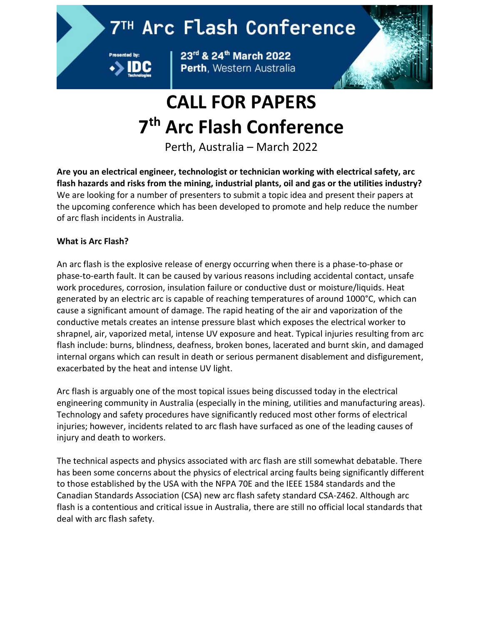## 7TH Arc Flash Conference



23rd & 24th March 2022 Perth, Western Australia



# **CALL FOR PAPERS 7 th Arc Flash Conference**

Perth, Australia – March 2022

**Are you an electrical engineer, technologist or technician working with electrical safety, arc flash hazards and risks from the mining, industrial plants, oil and gas or the utilities industry?** We are looking for a number of presenters to submit a topic idea and present their papers at the upcoming conference which has been developed to promote and help reduce the number of arc flash incidents in Australia.

### **What is Arc Flash?**

An arc flash is the explosive release of energy occurring when there is a phase-to-phase or phase-to-earth fault. It can be caused by various reasons including accidental contact, unsafe work procedures, corrosion, insulation failure or conductive dust or moisture/liquids. Heat generated by an electric arc is capable of reaching temperatures of around 1000°C, which can cause a significant amount of damage. The rapid heating of the air and vaporization of the conductive metals creates an intense pressure blast which exposes the electrical worker to shrapnel, air, vaporized metal, intense UV exposure and heat. Typical injuries resulting from arc flash include: burns, blindness, deafness, broken bones, lacerated and burnt skin, and damaged internal organs which can result in death or serious permanent disablement and disfigurement, exacerbated by the heat and intense UV light.

Arc flash is arguably one of the most topical issues being discussed today in the electrical engineering community in Australia (especially in the mining, utilities and manufacturing areas). Technology and safety procedures have significantly reduced most other forms of electrical injuries; however, incidents related to arc flash have surfaced as one of the leading causes of injury and death to workers.

The technical aspects and physics associated with arc flash are still somewhat debatable. There has been some concerns about the physics of electrical arcing faults being significantly different to those established by the USA with the NFPA 70E and the IEEE 1584 standards and the Canadian Standards Association (CSA) new arc flash safety standard CSA-Z462. Although arc flash is a contentious and critical issue in Australia, there are still no official local standards that deal with arc flash safety.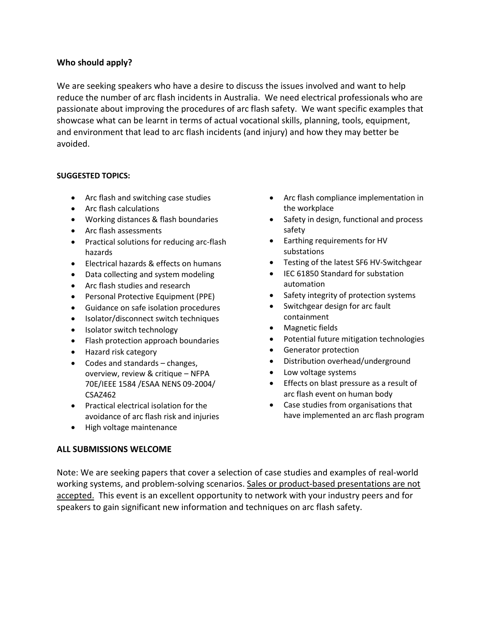#### **Who should apply?**

We are seeking speakers who have a desire to discuss the issues involved and want to help reduce the number of arc flash incidents in Australia. We need electrical professionals who are passionate about improving the procedures of arc flash safety. We want specific examples that showcase what can be learnt in terms of actual vocational skills, planning, tools, equipment, and environment that lead to arc flash incidents (and injury) and how they may better be avoided.

#### **SUGGESTED TOPICS:**

- Arc flash and switching case studies
- Arc flash calculations
- Working distances & flash boundaries
- Arc flash assessments
- Practical solutions for reducing arc-flash hazards
- Electrical hazards & effects on humans
- Data collecting and system modeling
- Arc flash studies and research
- Personal Protective Equipment (PPE)
- Guidance on safe isolation procedures
- Isolator/disconnect switch techniques
- Isolator switch technology
- Flash protection approach boundaries
- Hazard risk category
- Codes and standards changes, overview, review & critique – NFPA 70E/IEEE 1584 /ESAA NENS 09-2004/ CSAZ462
- Practical electrical isolation for the avoidance of arc flash risk and injuries
- High voltage maintenance

#### **ALL SUBMISSIONS WELCOME**

- Arc flash compliance implementation in the workplace
- Safety in design, functional and process safety
- Earthing requirements for HV substations
- Testing of the latest SF6 HV-Switchgear
- IEC 61850 Standard for substation automation
- Safety integrity of protection systems
- Switchgear design for arc fault containment
- Magnetic fields
- Potential future mitigation technologies
- Generator protection
- Distribution overhead/underground
- Low voltage systems
- Effects on blast pressure as a result of arc flash event on human body
- Case studies from organisations that have implemented an arc flash program

Note: We are seeking papers that cover a selection of case studies and examples of real-world working systems, and problem-solving scenarios. Sales or product-based presentations are not accepted. This event is an excellent opportunity to network with your industry peers and for speakers to gain significant new information and techniques on arc flash safety.